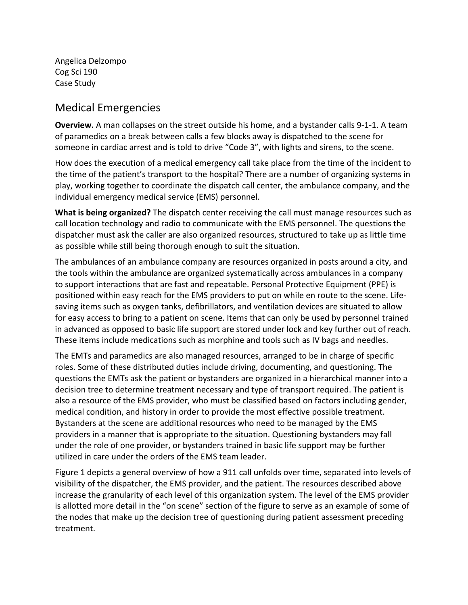Angelica Delzompo Cog Sci 190 Case Study

## Medical Emergencies

**Overview.** A man collapses on the street outside his home, and a bystander calls 9-1-1. A team of paramedics on a break between calls a few blocks away is dispatched to the scene for someone in cardiac arrest and is told to drive "Code 3", with lights and sirens, to the scene.

How does the execution of a medical emergency call take place from the time of the incident to the time of the patient's transport to the hospital? There are a number of organizing systems in play, working together to coordinate the dispatch call center, the ambulance company, and the individual emergency medical service (EMS) personnel.

**What is being organized?** The dispatch center receiving the call must manage resources such as call location technology and radio to communicate with the EMS personnel. The questions the dispatcher must ask the caller are also organized resources, structured to take up as little time as possible while still being thorough enough to suit the situation.

The ambulances of an ambulance company are resources organized in posts around a city, and the tools within the ambulance are organized systematically across ambulances in a company to support interactions that are fast and repeatable. Personal Protective Equipment (PPE) is positioned within easy reach for the EMS providers to put on while en route to the scene. Lifesaving items such as oxygen tanks, defibrillators, and ventilation devices are situated to allow for easy access to bring to a patient on scene. Items that can only be used by personnel trained in advanced as opposed to basic life support are stored under lock and key further out of reach. These items include medications such as morphine and tools such as IV bags and needles.

The EMTs and paramedics are also managed resources, arranged to be in charge of specific roles. Some of these distributed duties include driving, documenting, and questioning. The questions the EMTs ask the patient or bystanders are organized in a hierarchical manner into a decision tree to determine treatment necessary and type of transport required. The patient is also a resource of the EMS provider, who must be classified based on factors including gender, medical condition, and history in order to provide the most effective possible treatment. Bystanders at the scene are additional resources who need to be managed by the EMS providers in a manner that is appropriate to the situation. Questioning bystanders may fall under the role of one provider, or bystanders trained in basic life support may be further utilized in care under the orders of the EMS team leader.

Figure 1 depicts a general overview of how a 911 call unfolds over time, separated into levels of visibility of the dispatcher, the EMS provider, and the patient. The resources described above increase the granularity of each level of this organization system. The level of the EMS provider is allotted more detail in the "on scene" section of the figure to serve as an example of some of the nodes that make up the decision tree of questioning during patient assessment preceding treatment.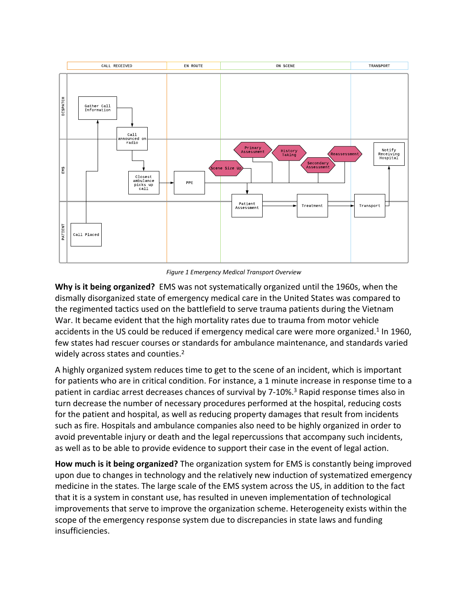

*Figure 1 Emergency Medical Transport Overview*

**Why is it being organized?** EMS was not systematically organized until the 1960s, when the dismally disorganized state of emergency medical care in the United States was compared to the regimented tactics used on the battlefield to serve trauma patients during the Vietnam War. It became evident that the high mortality rates due to trauma from motor vehicle accidents in the US could be reduced if emergency medical care were more organized.<sup>1</sup> In 1960, few states had rescuer courses or standards for ambulance maintenance, and standards varied widely across states and counties.<sup>2</sup>

A highly organized system reduces time to get to the scene of an incident, which is important for patients who are in critical condition. For instance, a 1 minute increase in response time to a patient in cardiac arrest decreases chances of survival by 7-10%.<sup>3</sup> Rapid response times also in turn decrease the number of necessary procedures performed at the hospital, reducing costs for the patient and hospital, as well as reducing property damages that result from incidents such as fire. Hospitals and ambulance companies also need to be highly organized in order to avoid preventable injury or death and the legal repercussions that accompany such incidents, as well as to be able to provide evidence to support their case in the event of legal action.

**How much is it being organized?** The organization system for EMS is constantly being improved upon due to changes in technology and the relatively new induction of systematized emergency medicine in the states. The large scale of the EMS system across the US, in addition to the fact that it is a system in constant use, has resulted in uneven implementation of technological improvements that serve to improve the organization scheme. Heterogeneity exists within the scope of the emergency response system due to discrepancies in state laws and funding insufficiencies.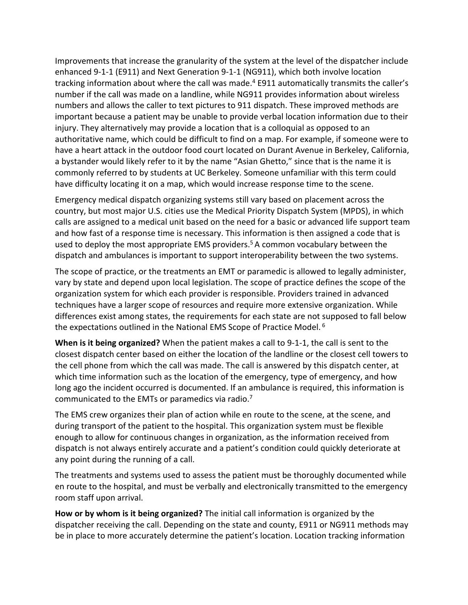Improvements that increase the granularity of the system at the level of the dispatcher include enhanced 9-1-1 (E911) and Next Generation 9-1-1 (NG911), which both involve location tracking information about where the call was made.<sup>4</sup> E911 automatically transmits the caller's number if the call was made on a landline, while NG911 provides information about wireless numbers and allows the caller to text pictures to 911 dispatch. These improved methods are important because a patient may be unable to provide verbal location information due to their injury. They alternatively may provide a location that is a colloquial as opposed to an authoritative name, which could be difficult to find on a map. For example, if someone were to have a heart attack in the outdoor food court located on Durant Avenue in Berkeley, California, a bystander would likely refer to it by the name "Asian Ghetto," since that is the name it is commonly referred to by students at UC Berkeley. Someone unfamiliar with this term could have difficulty locating it on a map, which would increase response time to the scene.

Emergency medical dispatch organizing systems still vary based on placement across the country, but most major U.S. cities use the Medical Priority Dispatch System (MPDS), in which calls are assigned to a medical unit based on the need for a basic or advanced life support team and how fast of a response time is necessary. This information is then assigned a code that is used to deploy the most appropriate EMS providers.<sup>5</sup> A common vocabulary between the dispatch and ambulances is important to support interoperability between the two systems.

The scope of practice, or the treatments an EMT or paramedic is allowed to legally administer, vary by state and depend upon local legislation. The scope of practice defines the scope of the organization system for which each provider is responsible. Providers trained in advanced techniques have a larger scope of resources and require more extensive organization. While differences exist among states, the requirements for each state are not supposed to fall below the expectations outlined in the National EMS Scope of Practice Model.  $6$ 

**When is it being organized?** When the patient makes a call to 9-1-1, the call is sent to the closest dispatch center based on either the location of the landline or the closest cell towers to the cell phone from which the call was made. The call is answered by this dispatch center, at which time information such as the location of the emergency, type of emergency, and how long ago the incident occurred is documented. If an ambulance is required, this information is communicated to the EMTs or paramedics via radio.<sup>7</sup>

The EMS crew organizes their plan of action while en route to the scene, at the scene, and during transport of the patient to the hospital. This organization system must be flexible enough to allow for continuous changes in organization, as the information received from dispatch is not always entirely accurate and a patient's condition could quickly deteriorate at any point during the running of a call.

The treatments and systems used to assess the patient must be thoroughly documented while en route to the hospital, and must be verbally and electronically transmitted to the emergency room staff upon arrival.

**How or by whom is it being organized?** The initial call information is organized by the dispatcher receiving the call. Depending on the state and county, E911 or NG911 methods may be in place to more accurately determine the patient's location. Location tracking information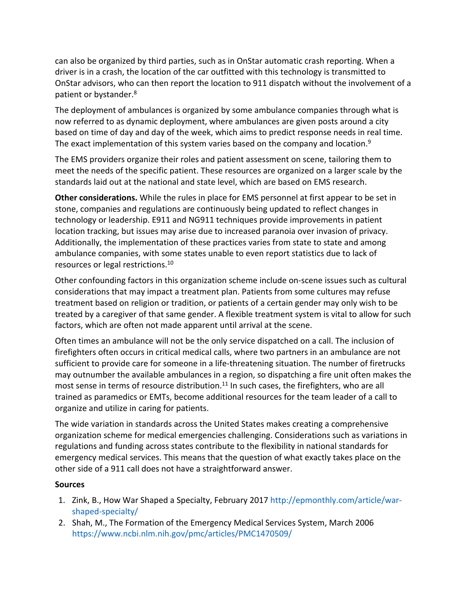can also be organized by third parties, such as in OnStar automatic crash reporting. When a driver is in a crash, the location of the car outfitted with this technology is transmitted to OnStar advisors, who can then report the location to 911 dispatch without the involvement of a patient or bystander.<sup>8</sup>

The deployment of ambulances is organized by some ambulance companies through what is now referred to as dynamic deployment, where ambulances are given posts around a city based on time of day and day of the week, which aims to predict response needs in real time. The exact implementation of this system varies based on the company and location. $9$ 

The EMS providers organize their roles and patient assessment on scene, tailoring them to meet the needs of the specific patient. These resources are organized on a larger scale by the standards laid out at the national and state level, which are based on EMS research.

**Other considerations.** While the rules in place for EMS personnel at first appear to be set in stone, companies and regulations are continuously being updated to reflect changes in technology or leadership. E911 and NG911 techniques provide improvements in patient location tracking, but issues may arise due to increased paranoia over invasion of privacy. Additionally, the implementation of these practices varies from state to state and among ambulance companies, with some states unable to even report statistics due to lack of resources or legal restrictions.<sup>10</sup>

Other confounding factors in this organization scheme include on-scene issues such as cultural considerations that may impact a treatment plan. Patients from some cultures may refuse treatment based on religion or tradition, or patients of a certain gender may only wish to be treated by a caregiver of that same gender. A flexible treatment system is vital to allow for such factors, which are often not made apparent until arrival at the scene.

Often times an ambulance will not be the only service dispatched on a call. The inclusion of firefighters often occurs in critical medical calls, where two partners in an ambulance are not sufficient to provide care for someone in a life-threatening situation. The number of firetrucks may outnumber the available ambulances in a region, so dispatching a fire unit often makes the most sense in terms of resource distribution.<sup>11</sup> In such cases, the firefighters, who are all trained as paramedics or EMTs, become additional resources for the team leader of a call to organize and utilize in caring for patients.

The wide variation in standards across the United States makes creating a comprehensive organization scheme for medical emergencies challenging. Considerations such as variations in regulations and funding across states contribute to the flexibility in national standards for emergency medical services. This means that the question of what exactly takes place on the other side of a 911 call does not have a straightforward answer.

## **Sources**

- 1. Zink, B., How War Shaped a Specialty, February 2017 [http://epmonthly.com/article/war](http://epmonthly.com/article/war-shaped-specialty/)[shaped-specialty/](http://epmonthly.com/article/war-shaped-specialty/)
- 2. Shah, M., The Formation of the Emergency Medical Services System, March 2006 <https://www.ncbi.nlm.nih.gov/pmc/articles/PMC1470509/>